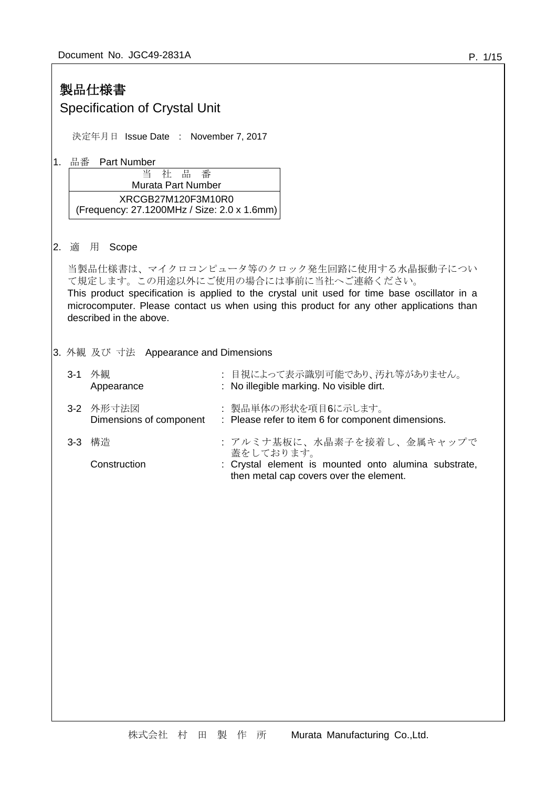|    |                                                                                                                                                                                                                                                                                                                             | 製品仕様書<br><b>Specification of Crystal Unit</b> |                                                                                                                                          |  |  |  |  |
|----|-----------------------------------------------------------------------------------------------------------------------------------------------------------------------------------------------------------------------------------------------------------------------------------------------------------------------------|-----------------------------------------------|------------------------------------------------------------------------------------------------------------------------------------------|--|--|--|--|
|    | 決定年月日 Issue Date : November 7, 2017                                                                                                                                                                                                                                                                                         |                                               |                                                                                                                                          |  |  |  |  |
| 1. | 品番<br><b>Part Number</b><br>핍<br>番<br>当<br>社<br><b>Murata Part Number</b><br>XRCGB27M120F3M10R0<br>(Frequency: 27.1200MHz / Size: 2.0 x 1.6mm)                                                                                                                                                                              |                                               |                                                                                                                                          |  |  |  |  |
| 2. | 用<br>Scope<br>適<br>当製品仕様書は、マイクロコンピュータ等のクロック発生回路に使用する水晶振動子につい<br>て規定します。この用途以外にご使用の場合には事前に当社へご連絡ください。<br>This product specification is applied to the crystal unit used for time base oscillator in a<br>microcomputer. Please contact us when using this product for any other applications than<br>described in the above. |                                               |                                                                                                                                          |  |  |  |  |
|    |                                                                                                                                                                                                                                                                                                                             | 3. 外観 及び 寸法 Appearance and Dimensions         |                                                                                                                                          |  |  |  |  |
|    |                                                                                                                                                                                                                                                                                                                             | 3-1 外観<br>Appearance                          | 目視によって表示識別可能であり、汚れ等がありません。<br>: No illegible marking. No visible dirt.                                                                   |  |  |  |  |
|    | $3 - 2$                                                                                                                                                                                                                                                                                                                     | 外形寸法図<br>Dimensions of component              | 製品単体の形状を項目6に示します。<br>: Please refer to item 6 for component dimensions.                                                                  |  |  |  |  |
|    | $3-3$                                                                                                                                                                                                                                                                                                                       | 構造<br>Construction                            | : アルミナ基板に、水晶素子を接着し、金属キャップで<br>蓋をしております。<br>Crystal element is mounted onto alumina substrate,<br>then metal cap covers over the element. |  |  |  |  |
|    |                                                                                                                                                                                                                                                                                                                             |                                               |                                                                                                                                          |  |  |  |  |
|    |                                                                                                                                                                                                                                                                                                                             |                                               |                                                                                                                                          |  |  |  |  |
|    |                                                                                                                                                                                                                                                                                                                             |                                               |                                                                                                                                          |  |  |  |  |
|    |                                                                                                                                                                                                                                                                                                                             |                                               |                                                                                                                                          |  |  |  |  |
|    |                                                                                                                                                                                                                                                                                                                             |                                               |                                                                                                                                          |  |  |  |  |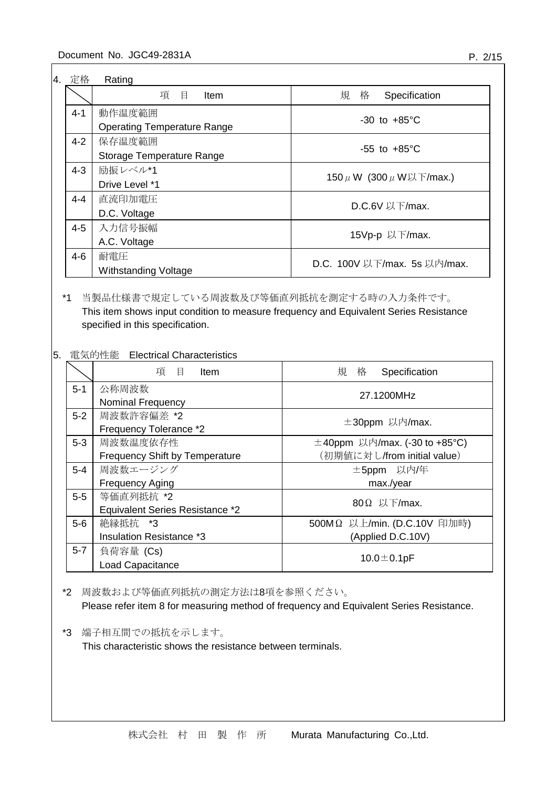| 4. 定格   | Rating                             |                                  |
|---------|------------------------------------|----------------------------------|
|         | 項<br>目<br><b>Item</b>              | 規<br>格<br>Specification          |
| $4 - 1$ | 動作温度範囲                             | $-30$ to $+85^{\circ}$ C         |
|         | <b>Operating Temperature Range</b> |                                  |
| $4 - 2$ | 保存温度範囲                             | $-55$ to $+85^{\circ}$ C         |
|         | Storage Temperature Range          |                                  |
| $4 - 3$ | 励振レベル*1                            |                                  |
|         | Drive Level *1                     | 150 $\mu$ W (300 $\mu$ W以下/max.) |
| $4 - 4$ | 直流印加電圧                             |                                  |
|         | D.C. Voltage                       | D.C.6V 以下/max.                   |
| $4 - 5$ | 入力信号振幅                             |                                  |
|         | A.C. Voltage                       | 15Vp-p 以下/max.                   |
| $4 - 6$ | 耐電圧                                |                                  |
|         | Withstanding Voltage               | D.C. 100V 以下/max. 5s 以内/max.     |

## \*1 当製品仕様書で規定している周波数及び等価直列抵抗を測定する時の入力条件です。 This item shows input condition to measure frequency and Equivalent Series Resistance specified in this specification.

### 5. 電気的性能 Electrical Characteristics

|         | 項目<br>Item                            | 規 格<br>Specification               |  |  |
|---------|---------------------------------------|------------------------------------|--|--|
| $5 - 1$ | 公称周波数                                 | 27.1200MHz                         |  |  |
|         | <b>Nominal Frequency</b>              |                                    |  |  |
| $5-2$   | 周波数許容偏差 *2                            | ±30ppm 以内/max.                     |  |  |
|         | Frequency Tolerance *2                |                                    |  |  |
| $5-3$   | 周波数温度依存性                              | $\pm$ 40ppm 以内/max. (-30 to +85°C) |  |  |
|         | <b>Frequency Shift by Temperature</b> | (初期値に対し/from initial value)        |  |  |
| $5-4$   | 周波数エージング                              | ±5ppm 以内/年                         |  |  |
|         | <b>Frequency Aging</b>                | max./year                          |  |  |
| $5-5$   | 等価直列抵抗 *2                             |                                    |  |  |
|         | Equivalent Series Resistance *2       | $80\Omega$ 以下/max.                 |  |  |
| $5-6$   | 絶縁抵抗 *3                               | 500MΩ 以上/min. (D.C.10V 印加時)        |  |  |
|         | <b>Insulation Resistance *3</b>       | (Applied D.C.10V)                  |  |  |
| $5 - 7$ | 負荷容量 (Cs)                             |                                    |  |  |
|         | <b>Load Capacitance</b>               | 10.0 $\pm$ 0.1pF                   |  |  |

\*2 周波数および等価直列抵抗の測定方法は8項を参照ください。

Please refer item 8 for measuring method of frequency and Equivalent Series Resistance.

\*3 端子相互間での抵抗を示します。

This characteristic shows the resistance between terminals.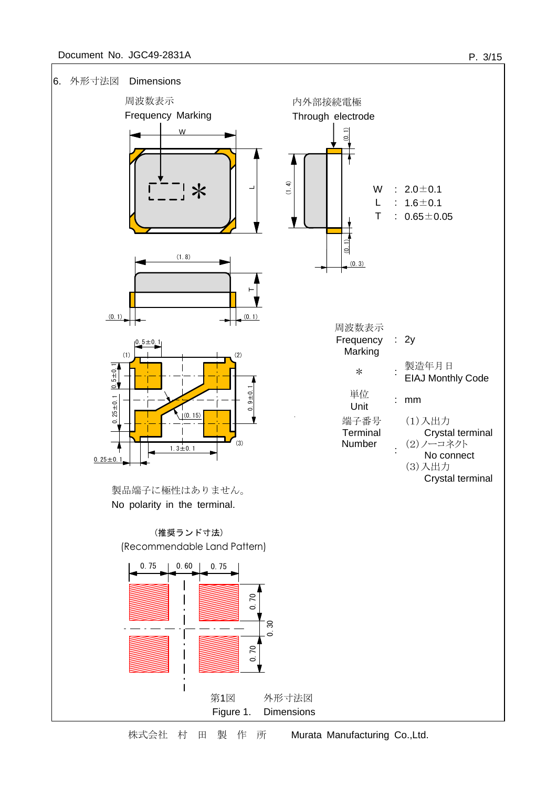### Document No. JGC49-2831A



株式会社 村 田 製 作 所 Murata Manufacturing Co.,Ltd.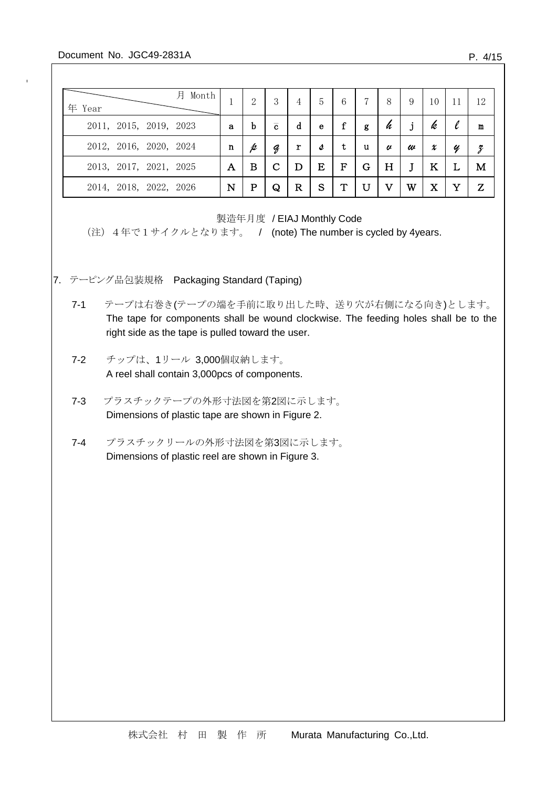### Document No. JGC49-2831A

 $\mathbf{r}$ 

| 月<br>年 Year            | Month |             | $\overline{2}$ | 3              | 4 | 5 | 6 | 7 | 8 | 9 | 10       | 11 | 12 |
|------------------------|-------|-------------|----------------|----------------|---|---|---|---|---|---|----------|----|----|
| 2011, 2015, 2019, 2023 |       | a           | b              | $\overline{c}$ | d | e | f | g | h |   | k        |    | m  |
| 2012, 2016, 2020, 2024 |       | $\mathbf n$ | p              | д              | r | s | t | u | U | w | x        | Y  | 3  |
| 2013, 2017, 2021, 2025 |       | А           | В              |                | D | Ε | F | G | H |   | K        |    | M  |
| 2014, 2018, 2022, 2026 |       | N           | р              | Q              | R | S | Т | U | v | W | $\rm\,X$ |    | Z  |

製造年月度 / EIAJ Monthly Code

(注) 4年で1サイクルとなります。 / (note) The number is cycled by 4years.

- 7. テーピング品包装規格 Packaging Standard (Taping)
	- 7-1 テープは右巻き(テープの端を手前に取り出した時、送り穴が右側になる向き)とします。 The tape for components shall be wound clockwise. The feeding holes shall be to the right side as the tape is pulled toward the user.
	- 7-2 チップは、1リール 3,000個収納します。 A reel shall contain 3,000pcs of components.
	- 7-3 プラスチックテープの外形寸法図を第2図に示します。 Dimensions of plastic tape are shown in Figure 2.
	- 7-4 プラスチックリールの外形寸法図を第3図に示します。 Dimensions of plastic reel are shown in Figure 3.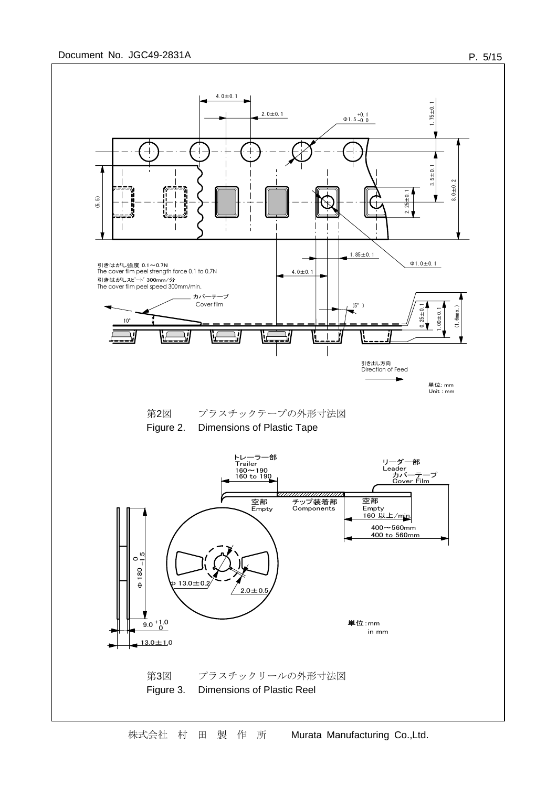

株式会社 村 田 製 作 所 Murata Manufacturing Co.,Ltd.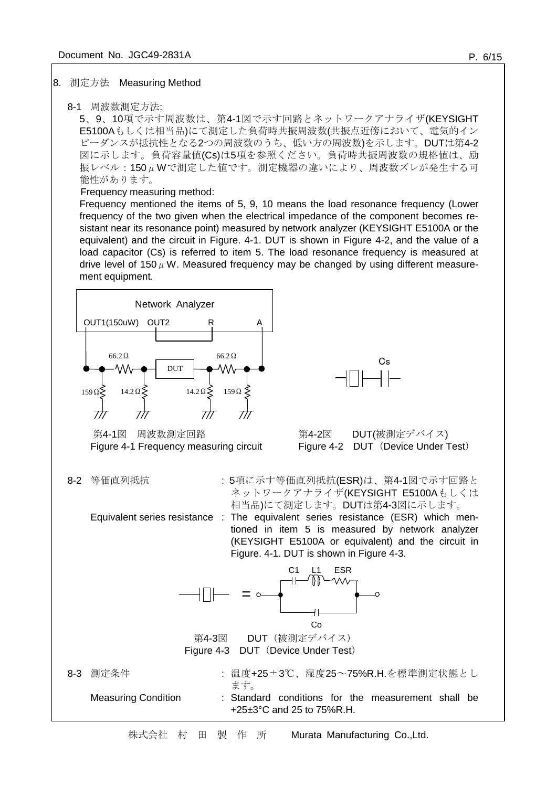#### 8. 測定方法 Measuring Method

#### 8-1 周波数測定方法:

5、9、10項で示す周波数は、第4-1図で示す回路とネットワークアナライザ(KEYSIGHT E5100Aもしくは相当品)にて測定した負荷時共振周波数(共振点近傍において、電気的イン ピーダンスが抵抗性となる2つの周波数のうち、低い方の周波数)を示します。DUTは第4-2 図に示します。負荷容量値(Cs)は5項を参照ください。負荷時共振周波数の規格値は、励 振レベル: 150μWで測定した値です。測定機器の違いにより、周波数ズレが発生する可 能性があります。

#### Frequency measuring method:

Frequency mentioned the items of 5, 9, 10 means the load resonance frequency (Lower frequency of the two given when the electrical impedance of the component becomes resistant near its resonance point) measured by network analyzer (KEYSIGHT E5100A or the equivalent) and the circuit in Figure. 4-1. DUT is shown in Figure 4-2, and the value of a load capacitor (Cs) is referred to item 5. The load resonance frequency is measured at drive level of 150  $\mu$  W. Measured frequency may be changed by using different measurement equipment.



株式会社 村 田 製 作 所 Murata Manufacturing Co.,Ltd.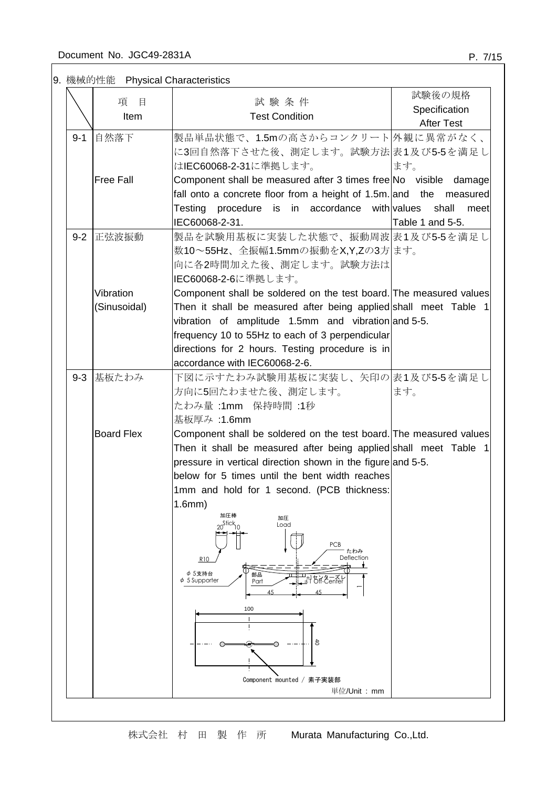9. 機械的性能 Physical Characteristics

|         | 項<br>目            | 試験条件                                                                                                                    | 試験後の規格            |
|---------|-------------------|-------------------------------------------------------------------------------------------------------------------------|-------------------|
|         | Item              | <b>Test Condition</b>                                                                                                   | Specification     |
|         |                   |                                                                                                                         | <b>After Test</b> |
| $9 - 1$ | 自然落下              | 製品単品状態で、1.5mの高さからコンクリート 外観に異常がなく、                                                                                       |                   |
|         |                   | に3回自然落下させた後、測定します。試験方法 表1及び5-5を満足し                                                                                      |                   |
|         |                   | はIEC60068-2-31に準拠します。                                                                                                   | ます。               |
|         | <b>Free Fall</b>  | Component shall be measured after 3 times free No visible damage                                                        |                   |
|         |                   | fall onto a concrete floor from a height of 1.5m. and the measured                                                      |                   |
|         |                   | Testing procedure is in accordance with values                                                                          | shall<br>meet     |
|         |                   | IEC60068-2-31.                                                                                                          | Table 1 and 5-5.  |
| $9 - 2$ | 正弦波振動             | 製品を試験用基板に実装した状態で、振動周波 表1及び5-5を満足し                                                                                       |                   |
|         |                   | 数10~55Hz、全振幅1.5mmの振動をX,Y,Zの3方 ます。                                                                                       |                   |
|         |                   | 向に各2時間加えた後、測定します。試験方法は                                                                                                  |                   |
|         |                   | IEC60068-2-6に準拠します。                                                                                                     |                   |
|         | Vibration         | Component shall be soldered on the test board. The measured values                                                      |                   |
|         | (Sinusoidal)      | Then it shall be measured after being applied shall meet Table 1<br>vibration of amplitude 1.5mm and vibration and 5-5. |                   |
|         |                   | frequency 10 to 55Hz to each of 3 perpendicular                                                                         |                   |
|         |                   | directions for 2 hours. Testing procedure is in                                                                         |                   |
|         |                   | accordance with IEC60068-2-6.                                                                                           |                   |
|         | 9-3 基板たわみ         | 下図に示すたわみ試験用基板に実装し、矢印の 表1及び5-5を満足し                                                                                       |                   |
|         |                   | 方向に5回たわませた後、測定します。                                                                                                      | ます。               |
|         |                   | たわみ量 :1mm 保持時間 :1秒                                                                                                      |                   |
|         |                   | 基板厚み:1.6mm                                                                                                              |                   |
|         | <b>Board Flex</b> | Component shall be soldered on the test board. The measured values                                                      |                   |
|         |                   | Then it shall be measured after being applied shall meet Table 1                                                        |                   |
|         |                   | pressure in vertical direction shown in the figure and 5-5.                                                             |                   |
|         |                   | below for 5 times until the bent width reaches                                                                          |                   |
|         |                   | 1mm and hold for 1 second. (PCB thickness:                                                                              |                   |
|         |                   | 1.6mm)                                                                                                                  |                   |
|         |                   | 加圧棒<br>加圧<br>$20^{\text{Stick}}$<br>Load                                                                                |                   |
|         |                   |                                                                                                                         |                   |
|         |                   | <b>PCB</b><br>たわみ                                                                                                       |                   |
|         |                   | Deflection<br>R10                                                                                                       |                   |
|         |                   | φ 5支持台<br>部品<br>뇕챵손대er<br>$\phi$ 5 Supporter<br>Part                                                                    |                   |
|         |                   | 45<br>45                                                                                                                |                   |
|         |                   | 100                                                                                                                     |                   |
|         |                   | $\mathbf{I}$                                                                                                            |                   |
|         |                   | ਠੈ                                                                                                                      |                   |
|         |                   |                                                                                                                         |                   |
|         |                   |                                                                                                                         |                   |
|         |                   | Component mounted / 素子実装部<br>単位/Unit: mm                                                                                |                   |
|         |                   |                                                                                                                         |                   |
|         |                   |                                                                                                                         |                   |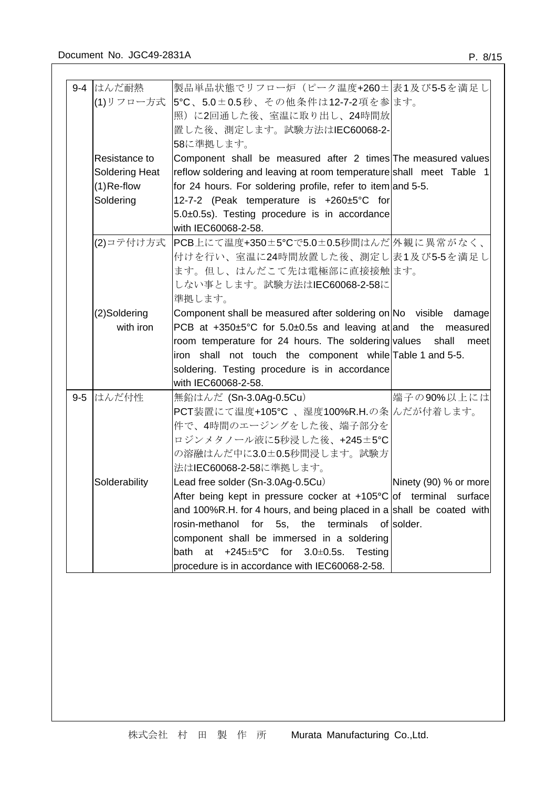|       | 9-4 はんだ耐熱             | 製品単品状態でリフロー炉(ピーク温度+260±表1及び5-5を満足し                                      |                       |
|-------|-----------------------|-------------------------------------------------------------------------|-----------------------|
|       |                       | (1)リフロー方式  5℃、5.0±0.5秒、その他条件は12-7-2項を参 ます。                              |                       |
|       |                       | 照)に2回通した後、室温に取り出し、24時間放                                                 |                       |
|       |                       | 置した後、測定します。試験方法はIEC60068-2-                                             |                       |
|       |                       | 58に準拠します。                                                               |                       |
|       | Resistance to         | Component shall be measured after 2 times The measured values           |                       |
|       | <b>Soldering Heat</b> | reflow soldering and leaving at room temperature shall meet Table 1     |                       |
|       | $(1)$ Re-flow         | for 24 hours. For soldering profile, refer to item and 5-5.             |                       |
|       | Soldering             | 12-7-2 (Peak temperature is +260±5°C for                                |                       |
|       |                       | 5.0±0.5s). Testing procedure is in accordance                           |                       |
|       |                       | with IEC60068-2-58.                                                     |                       |
|       | (2)コテ付け方式             | PCB上にて温度+350±5℃で5.0±0.5秒間はんだ 外観に異常がなく、                                  |                       |
|       |                       | 付けを行い、室温に24時間放置した後、測定し表1及び5-5を満足し                                       |                       |
|       |                       | ます。但し、はんだこて先は電極部に直接接触ます。                                                |                       |
|       |                       | しない事とします。試験方法はIEC60068-2-58に                                            |                       |
|       |                       | 準拠します。                                                                  |                       |
|       | (2)Soldering          | Component shall be measured after soldering on No visible damage        |                       |
|       | with iron             | PCB at $+350\pm5$ °C for 5.0 $\pm$ 0.5s and leaving at and the measured |                       |
|       |                       | room temperature for 24 hours. The soldering values shall meet          |                       |
|       |                       | iron shall not touch the component while Table 1 and 5-5.               |                       |
|       |                       | soldering. Testing procedure is in accordance                           |                       |
|       |                       | with IEC60068-2-58.                                                     |                       |
| $9-5$ | はんだ付性                 | 無鉛はんだ (Sn-3.0Ag-0.5Cu)                                                  | 端子の90%以上には            |
|       |                       | PCT装置にて温度+105℃、湿度100%R.H.の条 んだが付着します。                                   |                       |
|       |                       | 件で、4時間のエージングをした後、端子部分を                                                  |                       |
|       |                       | ロジンメタノール液に5秒浸した後、+245±5℃                                                |                       |
|       |                       | の溶融はんだ中に3.0±0.5秒間浸します。試験方                                               |                       |
|       |                       | 法はIEC60068-2-58に準拠します。                                                  |                       |
|       | Solderability         | Lead free solder (Sn-3.0Ag-0.5Cu)                                       | Ninety (90) % or more |
|       |                       | After being kept in pressure cocker at $+105^{\circ}C$ of terminal      | surface               |
|       |                       | and 100%R.H. for 4 hours, and being placed in a shall be coated with    |                       |
|       |                       | rosin-methanol for<br>5s, the<br>terminals                              | of solder.            |
|       |                       | component shall be immersed in a soldering                              |                       |
|       |                       | bath<br>+245±5°C for<br>$3.0 \pm 0.5$ s.<br>at<br>Testing               |                       |
|       |                       | procedure is in accordance with IEC60068-2-58.                          |                       |
|       |                       |                                                                         |                       |
|       |                       |                                                                         |                       |
|       |                       |                                                                         |                       |
|       |                       |                                                                         |                       |
|       |                       |                                                                         |                       |
|       |                       |                                                                         |                       |
|       |                       |                                                                         |                       |
|       |                       |                                                                         |                       |
|       |                       |                                                                         |                       |
|       |                       |                                                                         |                       |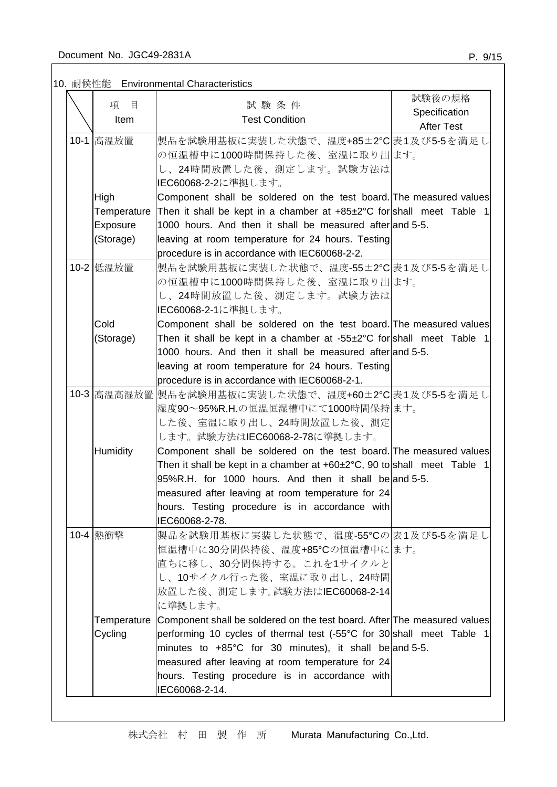# 10. 耐候性能 Environmental Characteristics

| 項<br>目      | 試験条件                                                                                | 試験後の規格            |
|-------------|-------------------------------------------------------------------------------------|-------------------|
| Item        | <b>Test Condition</b>                                                               | Specification     |
|             |                                                                                     | <b>After Test</b> |
| 10-1 高温放置   | 製品を試験用基板に実装した状態で、温度+85±2℃ 表1及び5-5を満足し                                               |                   |
|             | の恒温槽中に1000時間保持した後、室温に取り出ます。                                                         |                   |
|             | し、24時間放置した後、測定します。試験方法は                                                             |                   |
|             | IEC60068-2-2に準拠します。                                                                 |                   |
| High        | Component shall be soldered on the test board. The measured values                  |                   |
| Temperature | Then it shall be kept in a chamber at $+85\pm2\degree C$ for shall meet Table 1     |                   |
| Exposure    | 1000 hours. And then it shall be measured after and 5-5.                            |                   |
| (Storage)   | leaving at room temperature for 24 hours. Testing                                   |                   |
|             | procedure is in accordance with IEC60068-2-2.                                       |                   |
| 10-2 低温放置   | 製品を試験用基板に実装した状態で、温度-55±2℃ 表1及び5-5を満足し                                               |                   |
|             | の恒温槽中に1000時間保持した後、室温に取り出ます。                                                         |                   |
|             | し、24時間放置した後、測定します。試験方法は                                                             |                   |
|             | IEC60068-2-1に準拠します。                                                                 |                   |
| Cold        | Component shall be soldered on the test board. The measured values                  |                   |
| (Storage)   | Then it shall be kept in a chamber at $-55\pm2$ c for shall meet Table 1            |                   |
|             | 1000 hours. And then it shall be measured after and 5-5.                            |                   |
|             | leaving at room temperature for 24 hours. Testing                                   |                   |
|             | procedure is in accordance with IEC60068-2-1.                                       |                   |
|             | 10-3 高温高湿放置 製品を試験用基板に実装した状態で、温度+60±2℃ 表1及び5-5を満足し                                   |                   |
|             | 湿度90~95%R.H.の恒温恒湿槽中にて1000時間保持 ます。                                                   |                   |
|             | した後、室温に取り出し、24時間放置した後、測定                                                            |                   |
|             | します。試験方法はIEC60068-2-78に準拠します。                                                       |                   |
| Humidity    | Component shall be soldered on the test board. The measured values                  |                   |
|             | Then it shall be kept in a chamber at $+60\pm2\degree C$ , 90 to shall meet Table 1 |                   |
|             | 95%R.H. for 1000 hours. And then it shall beland 5-5.                               |                   |
|             | measured after leaving at room temperature for 24                                   |                   |
|             | hours. Testing procedure is in accordance with                                      |                   |
| 10-4 熱衝擊    | IEC60068-2-78.<br>製品を試験用基板に実装した状態で、温度-55℃の 表1及び5-5を満足し                              |                   |
|             | 恒温槽中に30分間保持後、温度+85℃の恒温槽中にます。                                                        |                   |
|             | 直ちに移し、30分間保持する。これを1サイクルと                                                            |                   |
|             | し、10サイクル行った後、室温に取り出し、24時間                                                           |                   |
|             | 放置した後、測定します。試験方法はIEC60068-2-14                                                      |                   |
|             | に準拠します。                                                                             |                   |
| Temperature | Component shall be soldered on the test board. After The measured values            |                   |
| Cycling     | performing 10 cycles of thermal test (-55°C for 30 shall meet Table 1               |                   |
|             | minutes to $+85^{\circ}$ C for 30 minutes), it shall be and 5-5.                    |                   |
|             | measured after leaving at room temperature for 24                                   |                   |
|             | hours. Testing procedure is in accordance with                                      |                   |
|             | IEC60068-2-14.                                                                      |                   |
|             |                                                                                     |                   |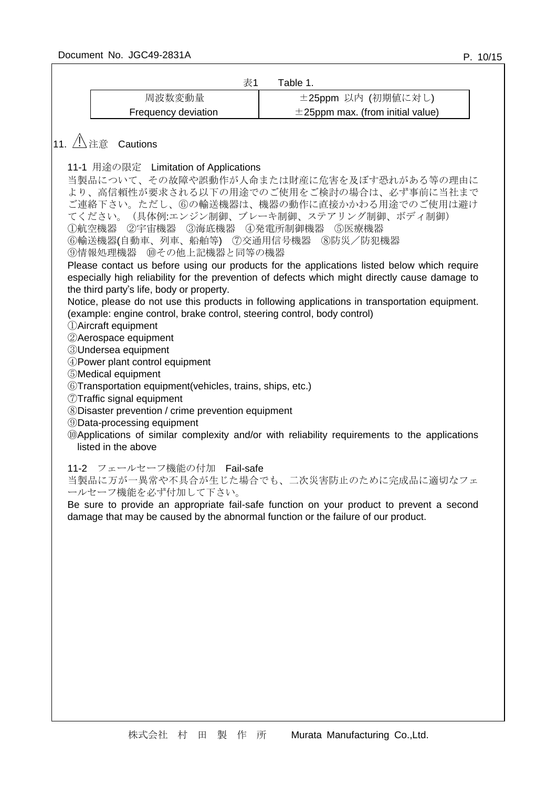| 表1                                                                                                                                                                                                                                                                                                                                                                                                                                                                                                                                                          | Table 1.                                                                                                                                                                                                                                                                                                                                                                                                                                                                                       |
|-------------------------------------------------------------------------------------------------------------------------------------------------------------------------------------------------------------------------------------------------------------------------------------------------------------------------------------------------------------------------------------------------------------------------------------------------------------------------------------------------------------------------------------------------------------|------------------------------------------------------------------------------------------------------------------------------------------------------------------------------------------------------------------------------------------------------------------------------------------------------------------------------------------------------------------------------------------------------------------------------------------------------------------------------------------------|
| 周波数変動量                                                                                                                                                                                                                                                                                                                                                                                                                                                                                                                                                      | ±25ppm 以内 (初期値に対し)                                                                                                                                                                                                                                                                                                                                                                                                                                                                             |
| Frequency deviation                                                                                                                                                                                                                                                                                                                                                                                                                                                                                                                                         | $\pm$ 25ppm max. (from initial value)                                                                                                                                                                                                                                                                                                                                                                                                                                                          |
| $ $ 11. $\triangle$ 注意 Cautions<br>11-1 用途の限定 Limitation of Applications<br>①航空機器 ②宇宙機器 ③海底機器 ④発電所制御機器 ⑤医療機器<br>⑥輸送機器(自動車、列車、船舶等) ⑦交通用信号機器<br>⑨情報処理機器 ⑩その他上記機器と同等の機器<br>the third party's life, body or property.<br>(example: engine control, brake control, steering control, body control)<br><b><i>DAircraft equipment</i></b><br>2 Aerospace equipment<br><b>3Undersea equipment</b><br>4) Power plant control equipment<br><b>5</b> Medical equipment<br>6Transportation equipment(vehicles, trains, ships, etc.)<br><b>7Traffic signal equipment</b> | 当製品について、その故障や誤動作が人命または財産に危害を及ぼす恐れがある等の理由に<br>より、高信頼性が要求される以下の用途でのご使用をご検討の場合は、必ず事前に当社まで<br>ご連絡下さい。ただし、⑥の輸送機器は、機器の動作に直接かかわる用途でのご使用は避け<br>てください。(具体例:エンジン制御、ブレーキ制御、ステアリング制御、ボディ制御)<br>⑧防災/防犯機器<br>Please contact us before using our products for the applications listed below which require<br>especially high reliability for the prevention of defects which might directly cause damage to<br>Notice, please do not use this products in following applications in transportation equipment. |
| <b>8Disaster prevention / crime prevention equipment</b><br><b>9Data-processing equipment</b><br>listed in the above<br>11-2 フェールセーフ機能の付加 Fail-safe<br>ールセーフ機能を必ず付加して下さい。                                                                                                                                                                                                                                                                                                                                                                                   | <b>Mapplications of similar complexity and/or with reliability requirements to the applications</b><br>当製品に万が一異常や不具合が生じた場合でも、二次災害防止のために完成品に適切なフェ<br>Be sure to provide an appropriate fail-safe function on your product to prevent a second                                                                                                                                                                                                                                                   |
|                                                                                                                                                                                                                                                                                                                                                                                                                                                                                                                                                             | damage that may be caused by the abnormal function or the failure of our product.                                                                                                                                                                                                                                                                                                                                                                                                              |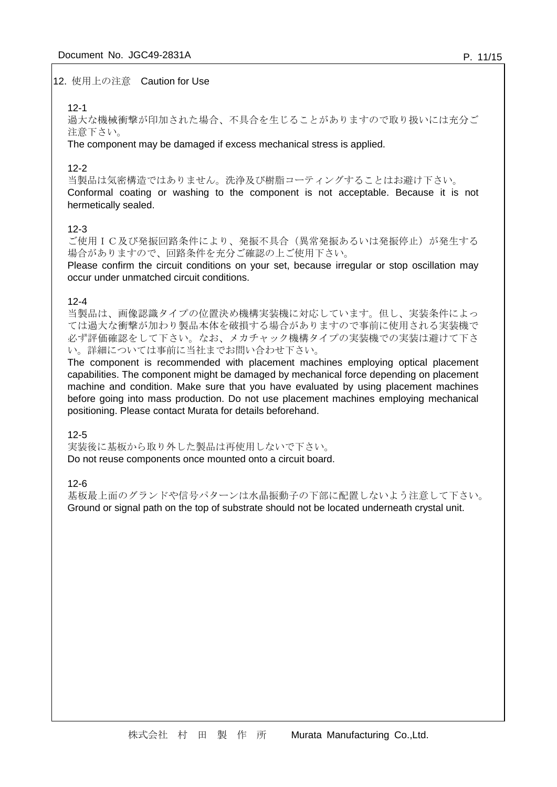#### 12. 使用上の注意 Caution for Use

### 12-1

過大な機械衝撃が印加された場合、不具合を生じることがありますので取り扱いには充分ご 注意下さい。

The component may be damaged if excess mechanical stress is applied.

## 12-2

当製品は気密構造ではありません。洗浄及び樹脂コーティングすることはお避け下さい。 Conformal coating or washing to the component is not acceptable. Because it is not hermetically sealed.

## 12-3

ご使用IC及び発振回路条件により、発振不具合(異常発振あるいは発振停止)が発生する 場合がありますので、回路条件を充分ご確認の上ご使用下さい。

Please confirm the circuit conditions on your set, because irregular or stop oscillation may occur under unmatched circuit conditions.

#### 12-4

当製品は、画像認識タイプの位置決め機構実装機に対応しています。但し、実装条件によっ ては過大な衝撃が加わり製品本体を破損する場合がありますので事前に使用される実装機で 必ず評価確認をして下さい。なお、メカチャック機構タイプの実装機での実装は避けて下さ い。詳細については事前に当社までお問い合わせ下さい。

The component is recommended with placement machines employing optical placement capabilities. The component might be damaged by mechanical force depending on placement machine and condition. Make sure that you have evaluated by using placement machines before going into mass production. Do not use placement machines employing mechanical positioning. Please contact Murata for details beforehand.

12-5

実装後に基板から取り外した製品は再使用しないで下さい。 Do not reuse components once mounted onto a circuit board.

12-6

基板最上面のグランドや信号パターンは水晶振動子の下部に配置しないよう注意して下さい。 Ground or signal path on the top of substrate should not be located underneath crystal unit.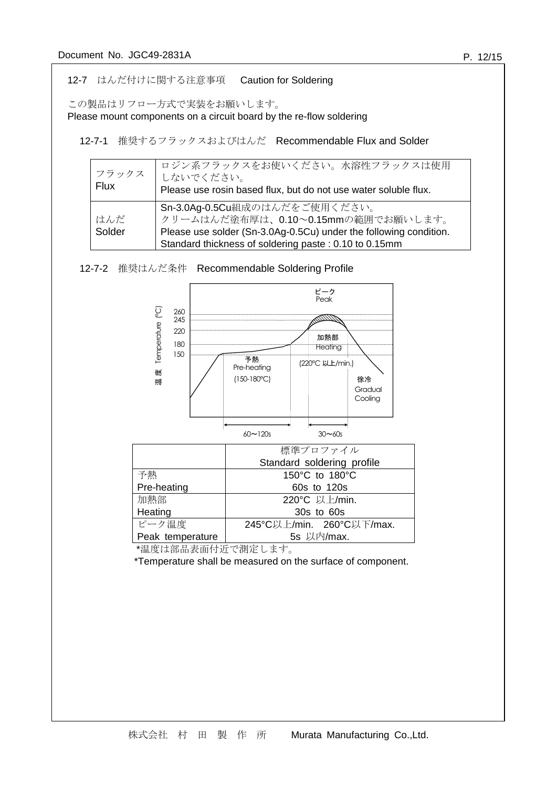## 12-7 はんだ付けに関する注意事項 Caution for Soldering

この製品はリフロー方式で実装をお願いします。

Please mount components on a circuit board by the re-flow soldering

12-7-2 推奨はんだ条件 Recommendable Soldering Profile

12-7-1 推奨するフラックスおよびはんだ Recommendable Flux and Solder

| フラックス<br><b>Flux</b> | ロジン系フラックスをお使いください。水溶性フラックスは使用<br>しないでください。<br>Please use rosin based flux, but do not use water soluble flux.                                                                                     |
|----------------------|---------------------------------------------------------------------------------------------------------------------------------------------------------------------------------------------------|
| はんだ<br>Solder        | Sn-3.0Ag-0.5Cu組成のはんだをご使用ください。<br>クリームはんだ塗布厚は、0.10~0.15mmの範囲でお願いします。<br>Please use solder (Sn-3.0Ag-0.5Cu) under the following condition.<br>Standard thickness of soldering paste: 0.10 to 0.15mm |



| 頭 | $100 - 100 - 1$ |               | 1ホ/ㅠ<br>Gradual<br>Cooling |
|---|-----------------|---------------|----------------------------|
|   | $60 \sim 120s$  | $30 \sim 60s$ |                            |

|                  | 標準プロファイル                   |
|------------------|----------------------------|
|                  | Standard soldering profile |
| 予熱               | 150°C to 180°C             |
| Pre-heating      | 60s to 120s                |
| 加熱部              | 220°C 以上/min.              |
| Heating          | 30s to 60s                 |
| ピーク温度            | 245°C以上/min. 260°C以下/max.  |
| Peak temperature | 5s 以内/max.                 |

\*温度は部品表面付近で測定します。

\*Temperature shall be measured on the surface of component.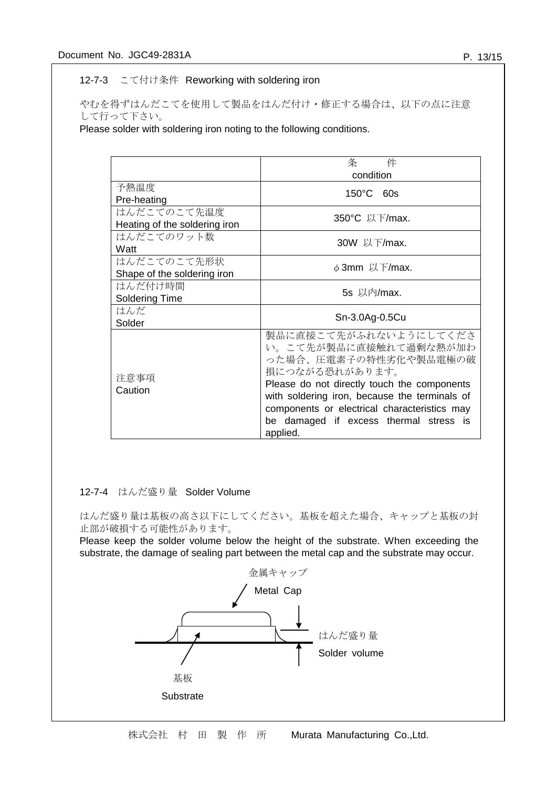### 12-7-3 こて付け条件 Reworking with soldering iron

やむを得ずはんだこてを使用して製品をはんだ付け・修正する場合は、以下の点に注意 して行って下さい。

Please solder with soldering iron noting to the following conditions.

|                               | 条<br>件                                        |
|-------------------------------|-----------------------------------------------|
|                               | condition                                     |
| 予熱温度                          | $150^{\circ}$ C 60s                           |
| Pre-heating                   |                                               |
| はんだこてのこて先温度                   | 350°C 以下/max.                                 |
| Heating of the soldering iron |                                               |
| はんだこてのワット数                    | 30W 以下/max.                                   |
| Watt                          |                                               |
| はんだこてのこて先形状                   | $\phi$ 3mm 以下/max.                            |
| Shape of the soldering iron   |                                               |
| はんだ付け時間                       | 5s 以内/max.                                    |
| <b>Soldering Time</b>         |                                               |
| はんだ                           | Sn-3.0Ag-0.5Cu                                |
| Solder                        |                                               |
|                               | 製品に直接こて先がふれないようにしてくださ                         |
|                               | い。こて先が製品に直接触れて過剰な熱が加わ                         |
|                               | った場合、圧電素子の特性劣化や製品電極の破                         |
| 注意事項                          | 損につながる恐れがあります。                                |
| Caution                       | Please do not directly touch the components   |
|                               | with soldering iron, because the terminals of |
|                               | components or electrical characteristics may  |
|                               | be damaged if excess thermal stress is        |
|                               | applied.                                      |

## 12-7-4 はんだ盛り量 Solder Volume

はんだ盛り量は基板の高さ以下にしてください。基板を超えた場合、キャップと基板の封 止部が破損する可能性があります。

Please keep the solder volume below the height of the substrate. When exceeding the substrate, the damage of sealing part between the metal cap and the substrate may occur.

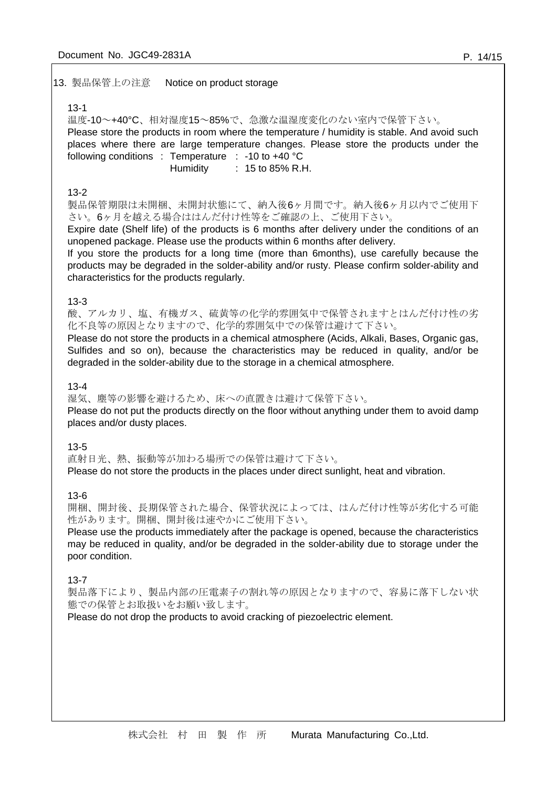#### 13. 製品保管上の注意 Notice on product storage

#### 13-1

温度-10~+40°C、相対湿度15~85%で、急激な温湿度変化のない室内で保管下さい。 Please store the products in room where the temperature / humidity is stable. And avoid such places where there are large temperature changes. Please store the products under the following conditions : Temperature : -10 to +40 °C Humidity : 15 to 85% R.H.

#### 13-2

製品保管期限は未開梱、未開封状態にて、納入後6ヶ月間です。納入後6ヶ月以内でご使用下 さい。6ヶ月を越える場合ははんだ付け性等をご確認の上、ご使用下さい。

Expire date (Shelf life) of the products is 6 months after delivery under the conditions of an unopened package. Please use the products within 6 months after delivery.

If you store the products for a long time (more than 6months), use carefully because the products may be degraded in the solder-ability and/or rusty. Please confirm solder-ability and characteristics for the products regularly.

#### 13-3

酸、アルカリ、塩、有機ガス、硫黄等の化学的雰囲気中で保管されますとはんだ付け性の劣 化不良等の原因となりますので、化学的雰囲気中での保管は避けて下さい。

Please do not store the products in a chemical atmosphere (Acids, Alkali, Bases, Organic gas, Sulfides and so on), because the characteristics may be reduced in quality, and/or be degraded in the solder-ability due to the storage in a chemical atmosphere.

#### 13-4

湿気、塵等の影響を避けるため、床への直置きは避けて保管下さい。 Please do not put the products directly on the floor without anything under them to avoid damp places and/or dusty places.

#### 13-5

直射日光、熱、振動等が加わる場所での保管は避けて下さい。

Please do not store the products in the places under direct sunlight, heat and vibration.

#### 13-6

開梱、開封後、長期保管された場合、保管状況によっては、はんだ付け性等が劣化する可能 性があります。開梱、開封後は速やかにご使用下さい。

Please use the products immediately after the package is opened, because the characteristics may be reduced in quality, and/or be degraded in the solder-ability due to storage under the poor condition.

### 13-7

製品落下により、製品内部の圧電素子の割れ等の原因となりますので、容易に落下しない状 態での保管とお取扱いをお願い致します。

Please do not drop the products to avoid cracking of piezoelectric element.